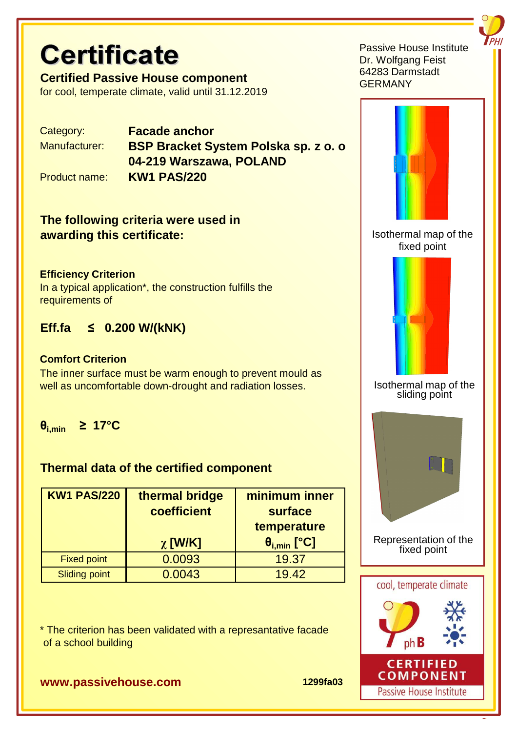# **Certificate**

**Certified Passive House component** for cool, temperate climate, valid until 31.12.2019

Category: **Facade anchor**

Manufacturer: **BSP Bracket System Polska sp. z o. o. 04-219 Warszawa, POLAND** Product name: **KW1 PAS/220**

## **The following criteria were used in awarding this certificate:**

#### **Efficiency Criterion**

In a typical application\*, the construction fulfills the requirements of

# **Eff.fa ≤ 0.200 W/(kNK)**

#### **Comfort Criterion**

The inner surface must be warm enough to prevent mould as well as uncomfortable down-drought and radiation losses.

**θi,min ≥ 17°C**

### **Thermal data of the certified component**

| <b>KW1 PAS/220</b>   | thermal bridge<br>coefficient | minimum inner<br>surface |  |
|----------------------|-------------------------------|--------------------------|--|
|                      |                               | temperature              |  |
|                      | $\chi$ [W/K]                  | $\theta_{i,min}$ [°C]    |  |
| <b>Fixed point</b>   | 0.0093                        | 19.37                    |  |
| <b>Sliding point</b> | 0.0043                        | 19.42                    |  |

\* The criterion has been validated with a represantative facade of a school building





#### Isothermal map of the sliding point



Representation of the fixed point





#### **www.passivehouse.com 1299fa03**